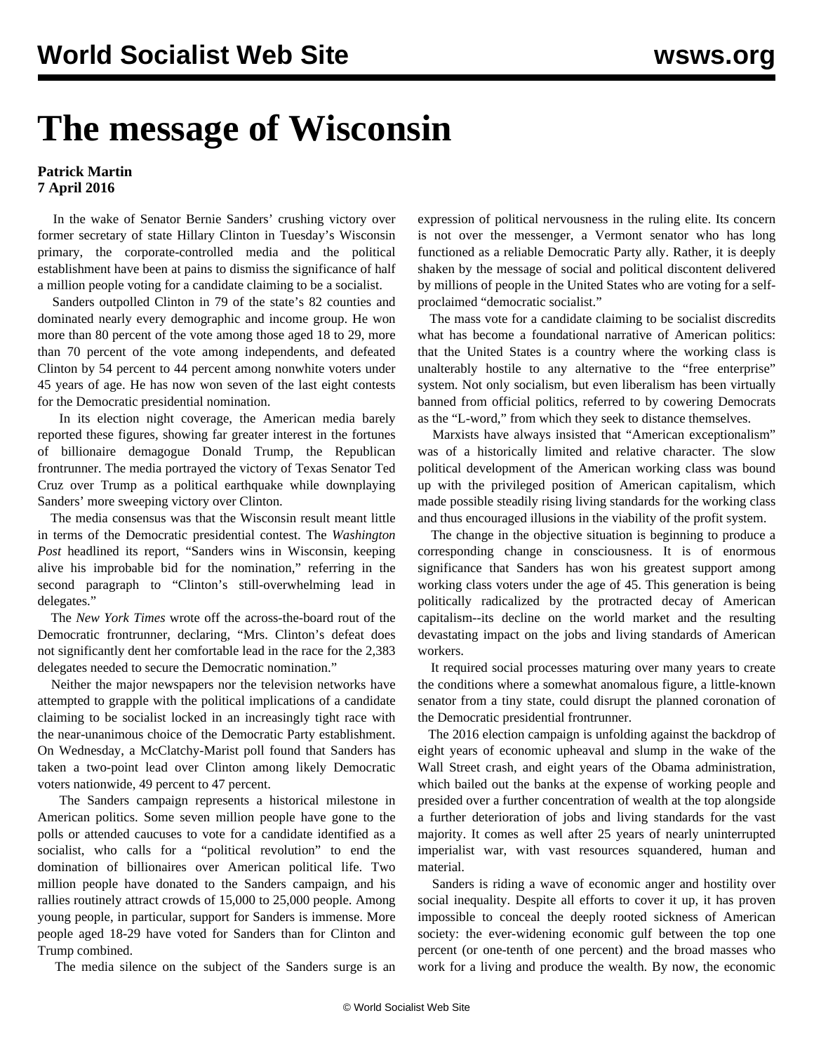## **The message of Wisconsin**

## **Patrick Martin 7 April 2016**

 In the wake of Senator Bernie Sanders' crushing victory over former secretary of state Hillary Clinton in Tuesday's Wisconsin primary, the corporate-controlled media and the political establishment have been at pains to dismiss the significance of half a million people voting for a candidate claiming to be a socialist.

 Sanders outpolled Clinton in 79 of the state's 82 counties and dominated nearly every demographic and income group. He won more than 80 percent of the vote among those aged 18 to 29, more than 70 percent of the vote among independents, and defeated Clinton by 54 percent to 44 percent among nonwhite voters under 45 years of age. He has now won seven of the last eight contests for the Democratic presidential nomination.

 In its election night coverage, the American media barely reported these figures, showing far greater interest in the fortunes of billionaire demagogue Donald Trump, the Republican frontrunner. The media portrayed the victory of Texas Senator Ted Cruz over Trump as a political earthquake while downplaying Sanders' more sweeping victory over Clinton.

 The media consensus was that the Wisconsin result meant little in terms of the Democratic presidential contest. The *Washington Post* headlined its report, "Sanders wins in Wisconsin, keeping alive his improbable bid for the nomination," referring in the second paragraph to "Clinton's still-overwhelming lead in delegates."

 The *New York Times* wrote off the across-the-board rout of the Democratic frontrunner, declaring, "Mrs. Clinton's defeat does not significantly dent her comfortable lead in the race for the 2,383 delegates needed to secure the Democratic nomination."

 Neither the major newspapers nor the television networks have attempted to grapple with the political implications of a candidate claiming to be socialist locked in an increasingly tight race with the near-unanimous choice of the Democratic Party establishment. On Wednesday, a McClatchy-Marist poll found that Sanders has taken a two-point lead over Clinton among likely Democratic voters nationwide, 49 percent to 47 percent.

 The Sanders campaign represents a historical milestone in American politics. Some seven million people have gone to the polls or attended caucuses to vote for a candidate identified as a socialist, who calls for a "political revolution" to end the domination of billionaires over American political life. Two million people have donated to the Sanders campaign, and his rallies routinely attract crowds of 15,000 to 25,000 people. Among young people, in particular, support for Sanders is immense. More people aged 18-29 have voted for Sanders than for Clinton and Trump combined.

The media silence on the subject of the Sanders surge is an

expression of political nervousness in the ruling elite. Its concern is not over the messenger, a Vermont senator who has long functioned as a reliable Democratic Party ally. Rather, it is deeply shaken by the message of social and political discontent delivered by millions of people in the United States who are voting for a selfproclaimed "democratic socialist."

 The mass vote for a candidate claiming to be socialist discredits what has become a foundational narrative of American politics: that the United States is a country where the working class is unalterably hostile to any alternative to the "free enterprise" system. Not only socialism, but even liberalism has been virtually banned from official politics, referred to by cowering Democrats as the "L-word," from which they seek to distance themselves.

 Marxists have always insisted that "American exceptionalism" was of a historically limited and relative character. The slow political development of the American working class was bound up with the privileged position of American capitalism, which made possible steadily rising living standards for the working class and thus encouraged illusions in the viability of the profit system.

 The change in the objective situation is beginning to produce a corresponding change in consciousness. It is of enormous significance that Sanders has won his greatest support among working class voters under the age of 45. This generation is being politically radicalized by the protracted decay of American capitalism--its decline on the world market and the resulting devastating impact on the jobs and living standards of American workers.

 It required social processes maturing over many years to create the conditions where a somewhat anomalous figure, a little-known senator from a tiny state, could disrupt the planned coronation of the Democratic presidential frontrunner.

 The 2016 election campaign is unfolding against the backdrop of eight years of economic upheaval and slump in the wake of the Wall Street crash, and eight years of the Obama administration, which bailed out the banks at the expense of working people and presided over a further concentration of wealth at the top alongside a further deterioration of jobs and living standards for the vast majority. It comes as well after 25 years of nearly uninterrupted imperialist war, with vast resources squandered, human and material.

 Sanders is riding a wave of economic anger and hostility over social inequality. Despite all efforts to cover it up, it has proven impossible to conceal the deeply rooted sickness of American society: the ever-widening economic gulf between the top one percent (or one-tenth of one percent) and the broad masses who work for a living and produce the wealth. By now, the economic